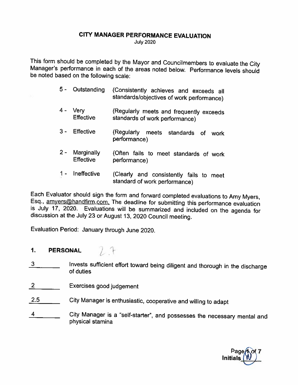#### CITY MANAGER PERFORMANCE EVALUATION

July <sup>2020</sup>

This form should be completed by the Mayor and Councilmembers to evaluate the City Manager's performance in each of the areas noted below. Performance levels should be noted based on the following scale:

- <sup>5</sup> Outstanding (Consistently achieves and exceeds all standards/objectives of work performance)
- 4 Very (Regularly meets and frequently exceeds<br>Effective standards of work performance) standards of work performance)
- <sup>3</sup> Effective (Regularly meets standards of work performance)
- <sup>2</sup> Marginally (Often fails to meet standards of work Effective performance)
- 1 Ineffective (Clearly and consistently fails to meet standard of work performance)

Each Evaluator should sign the form and forward completed evaluations to Amy Myers, Esq., <u>amyers@handfirm.com.</u> The deadline for submitting this performance evaluation is July 17, 2020. Evaluations will be summarized and

Evaluation Period: January through June 2020.

## 1. PERSONAL  $\bigcup$  +

- 3 Invests sufficient effort toward being diligent and thorough in the discharge of duties
- <sup>2</sup> Exercises good judgement
- 2.5 City Manager is enthusiastic, cooperative and willing to adapt
- 4 \_\_\_\_\_\_\_\_ City Manager is a "self-starter", and possesses the necessary mental and physical stamina

Page Initials\_\_\_\_\_\_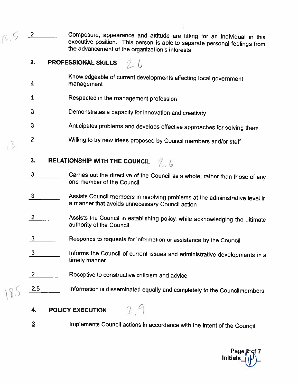3.5 2 Composure, appearance and attitude are fitting for an individual in this executive position. This person is able to separate personal feelings from the advancement of the organization's interests

## 2. PROFESSIONAL SKILLS  $\mathcal{L}$

- Knowledgeable of current developments affecting local government<br>4 management
- <sup>1</sup> Respected in the management profession
- Demonstrates <sup>a</sup> capacity for innovation and creativity  $\mathbf{3}$
- <sup>3</sup> Anticipates problems and develops effective approaches for solving them
- Z Willing to try new ideas proposed by Council members and/or staff

### 3. RELATIONSHIP WITH THE COUNCIL  $\begin{array}{cc} \begin{array}{cc} \end{array} & 0 \end{array}$

- <sup>3</sup> Carries out the directive of the Council as <sup>a</sup> whole, rather than those of any one member of the Council
- <sup>3</sup> Assists Council members in resolving problems at the administrative level in <sup>a</sup> manner that avoids unnecessary Council action
- <sup>2</sup> Assists the Council in establishing policy, while acknowledging the ultimate authority of the Council
- 3 \_\_\_\_\_\_\_\_\_\_ Responds to requests for information or assistance by the Council
- $\frac{3}{10}$  Informs the Council of current issues and administrative developments in a timely manner
- 2 \_\_\_\_\_\_\_\_ Receptive to constructive criticism and advice
- 2.5 **Information is disseminated equally and completely to the Councilmembers**

 $2<sup>q</sup>$ 

#### 4. POLICY EXECUTION

a Implements Council actions in accordance with the intent of the Council

Page Initials\_\_\_\_\_\_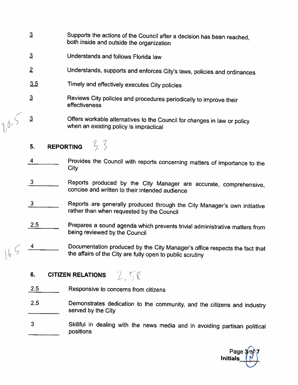- <sup>3</sup> Supports the actions of the Council after <sup>a</sup> decision has been reached, both inside and outside the organization
- 3 Understands and follows Florida law
- <sup>Z</sup> Understands, supports and enforces City's laws, policies and ordinances
- Timely and effectively executes City policies  $3.5$
- <sup>a</sup> Reviews City policies and procedures periodically to improve their effectiveness
- : <sup>a</sup> Offers workable alternatives to the Council for changes in law or policy when an existing policy is impractical
	- $3, 3$ 5. REPORTING
	- 4 Provides the Council with reports concerning matters of importance to the City
	- <sup>3</sup> Reports produced by the City Manager are accurate, comprehensive, concise and written to their intended audience
	- <sup>3</sup> Reports are generally produced through the City Manager's own initiative rather than when requested by the Council
	- 2.5 Prepares <sup>a</sup> Sound agenda which prevents trivial administrative matters from being reviewed by the Council
- 4 Documentation produced by the City Manager's office respects the fact that the affairs of the City are fully open to public scrutiny  $16.5$

## 6. CITIZEN RELATIONS  $258$

- 2.5 Responsive to concerns from citizens
- 2.5 Demonstrates dedication to the community, and the citizens and industry served by the City
- <sup>3</sup> Skillful in dealing with the news media and in avoiding partisan political positions

Page **3⁄o**f∖7 **Initials**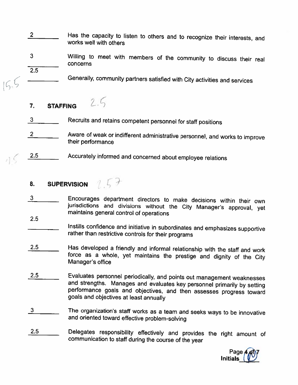- 2 \_\_\_\_\_\_\_\_\_ Has the capacity to listen to others and to recognize their interests, and works well with others
- <sup>3</sup> Willing to meet with members of the community to discuss their real concerns 2.5
- Generafly, community partners satisfied with City activities and services
	- $2.5$ 7. STAFFING
	- 3 **Recruits and retains competent personnel for staff positions**
	- 2 Aware of weak or indifferent administrative personnel, and works to improve their performance
	- 2.5 Accurately informed and concerned about employee relations

# 8. SUPERVISION  $1.57$

- <sup>3</sup> Encourages department directors to make decisions within their own jurisdictions and divisions without the City Manager's approval, yet maintains general control of operations
- 2.5

Instills confidence and initiative in subordinates and emphasizes supportive rather than restrictive controls for their programs

- 2.5 Has developed <sup>a</sup> friendly and informal relationship with the staff and work force as <sup>a</sup> whole, yet maintains the prestige and dignity of the City Manager's office
- 2.5 Evaluates personnel periodically, and points out management weaknesses and strengths. Manages and evaluates key personnel primarily by setting performance goals and objectives, and then assesses progress toward goals and objectives at least annually
- <sup>3</sup> The organization's staff works as <sup>a</sup> team and seeks ways to be innovative and oriented toward effective problem-solving
- 2.5 Delegates responsibility effectively and provides the right amount of communication to staff during the course of the year

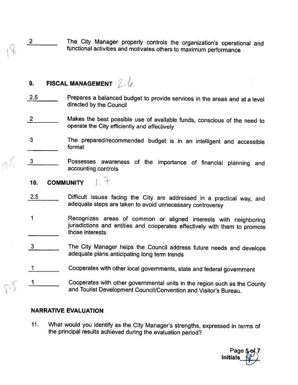2 The City Manager properly controls the organization's operational and functional activities and motivates others to maximum performance

## 9. FISCAL MANAGEMENT  $2.6$

- 2.5 Prepares a balanced budget to provide services in the areas and at a level directed by the Council
- 2 Makes the best possible use of available funds, conscious of the need to operate the City efficiently and effectively
- <sup>3</sup> the prepared/recommended budget is in an intelligent and accessible format
- <sup>3</sup> Possesses awareness of the importance of financial <sup>p</sup>lanning and accounting controls

#### $1.7$ 10. COMMUNITY

- 2.5 Difficult issues facing the City are addressed in a practical way, and adequate steps are taken to avoid unnecessary controversy
- <sup>1</sup> Recognizes areas of common or aligned interests with neighboring jurisdictions and entities and cooperates effectively with them to promote those interests
- <sup>3</sup> The City Manager helps the Council address future needs and develops adequate <sup>p</sup>lans anticipating long term trends
- <sup>I</sup> Cooperates with other local governments, state and federal government
- <sup>1</sup> Cooperates with other governmental units in the region such as the County and Tourist Development Council/Convention and Visitor's Bureau.

#### NARRATIVE EVALUATION

11. What would you identify as the City Manager's strengths, expressed in terms of the principal results achieved during the evaluation period?

Page **Initials**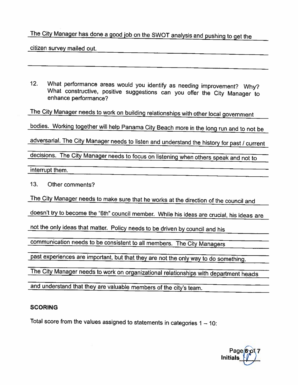## The City Manager has done <sup>a</sup> good job on the SWOT analysis and pushing to get the

citizen survey mailed out.

12. What performance areas would you identify as needing improvement? Why? What constructive, positive suggestions can you offer the City Manager to enhance performance?

The City Manager needs to work on building relationships with other local government

bodies. Working together will help Panama City Beach more in the long run and to not be

adversarial. The City Manager needs to listen and understand the history for past / current

decisions. The City Manager needs to focus on listening when others speak and not to

interrupt them.

13. Other comments?

The City Manager needs to make sure that he works at the direction of the council and

doesn't try to become the "6th" council member. While his ideas are crucial, his ideas are

not the only ideas that matter. Policy needs to be driven by council and his

communication needs to be consistent to all members. The City Managers

past experiences are important, but that they are not the only way to do something.

The City Manager needs to work on organizational relationships with department heads

and understand that they are valuable members of the city's team.

#### SCORING

Total score from the values assigned to statements in categories  $1 - 10$ :